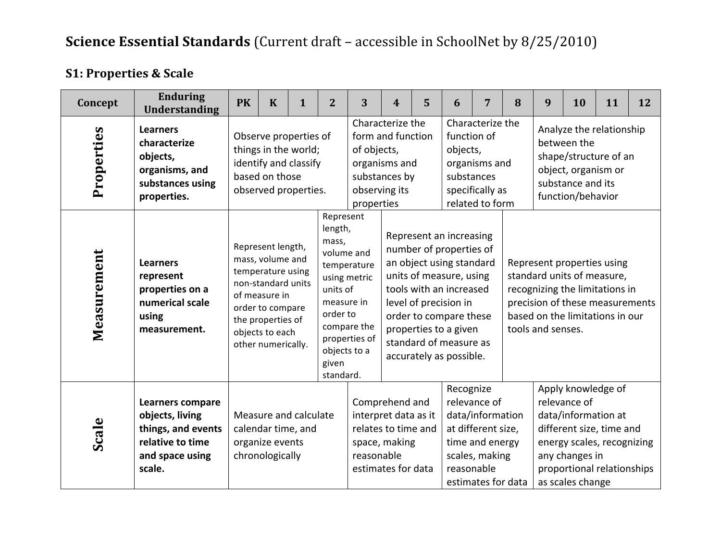| Concept     | <b>Enduring</b><br><b>Understanding</b>                                                                           | <b>PK</b> | $\mathbf K$                        | $\mathbf{1}$                                                                                                                                                                                                                                                                                                                                                                         | $\overline{2}$ | 3                                          | $\boldsymbol{4}$                                                                                     | 5 | 6                                                                                                                                                                                                                                                                     | 7                                                                                                                 | 8 | 9                                                                                                                                                                                       | <b>10</b> | 11 | 12 |  |
|-------------|-------------------------------------------------------------------------------------------------------------------|-----------|------------------------------------|--------------------------------------------------------------------------------------------------------------------------------------------------------------------------------------------------------------------------------------------------------------------------------------------------------------------------------------------------------------------------------------|----------------|--------------------------------------------|------------------------------------------------------------------------------------------------------|---|-----------------------------------------------------------------------------------------------------------------------------------------------------------------------------------------------------------------------------------------------------------------------|-------------------------------------------------------------------------------------------------------------------|---|-----------------------------------------------------------------------------------------------------------------------------------------------------------------------------------------|-----------|----|----|--|
| Properties  | <b>Learners</b><br>characterize<br>objects,<br>organisms, and<br>substances using<br>properties.                  |           | based on those                     | Observe properties of<br>things in the world;<br>identify and classify                                                                                                                                                                                                                                                                                                               |                | of objects,<br>observing its<br>properties | Characterize the<br>form and function<br>organisms and<br>substances by                              |   | function of<br>objects,<br>substances                                                                                                                                                                                                                                 | Characterize the<br>organisms and<br>specifically as<br>related to form                                           |   | Analyze the relationship<br>between the<br>shape/structure of an<br>object, organism or<br>substance and its<br>function/behavior                                                       |           |    |    |  |
| Measurement | <b>Learners</b><br>represent<br>properties on a<br>numerical scale<br>using<br>measurement.                       |           | of measure in                      | observed properties.<br>Represent<br>length,<br>mass,<br>Represent length,<br>volume and<br>mass, volume and<br>temperature<br>temperature using<br>using metric<br>non-standard units<br>units of<br>measure in<br>order to compare<br>order to<br>the properties of<br>compare the<br>objects to each<br>properties of<br>other numerically.<br>objects to a<br>given<br>standard. |                |                                            |                                                                                                      |   | Represent an increasing<br>number of properties of<br>an object using standard<br>units of measure, using<br>tools with an increased<br>level of precision in<br>order to compare these<br>properties to a given<br>standard of measure as<br>accurately as possible. |                                                                                                                   |   | Represent properties using<br>standard units of measure,<br>recognizing the limitations in<br>precision of these measurements<br>based on the limitations in our<br>tools and senses.   |           |    |    |  |
| Scale       | <b>Learners compare</b><br>objects, living<br>things, and events<br>relative to time<br>and space using<br>scale. |           | organize events<br>chronologically | Measure and calculate<br>calendar time, and                                                                                                                                                                                                                                                                                                                                          |                | reasonable                                 | Comprehend and<br>interpret data as it<br>relates to time and<br>space, making<br>estimates for data |   | Recognize<br>reasonable                                                                                                                                                                                                                                               | relevance of<br>data/information<br>at different size,<br>time and energy<br>scales, making<br>estimates for data |   | Apply knowledge of<br>relevance of<br>data/information at<br>different size, time and<br>energy scales, recognizing<br>any changes in<br>proportional relationships<br>as scales change |           |    |    |  |

## **S1: Properties & Scale**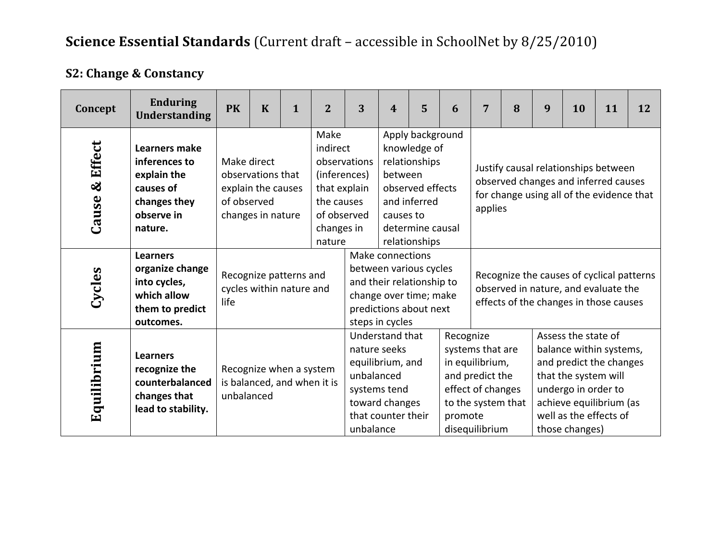| <b>S2: Change &amp; Constancy</b> |  |  |
|-----------------------------------|--|--|
|-----------------------------------|--|--|

| Concept           | <b>Enduring</b><br><b>Understanding</b>                                                                    | <b>PK</b>                  | $\mathbf K$                                                  | $\mathbf{1}$ | $\overline{2}$                                                                                                        | 3                                       | 4                                                                                           | 5                                                                                                                          | 6                    | 7                                                                                                                                    | 8 | 9 | 10                                                                                   | 11                                                                                                                          | 12 |
|-------------------|------------------------------------------------------------------------------------------------------------|----------------------------|--------------------------------------------------------------|--------------|-----------------------------------------------------------------------------------------------------------------------|-----------------------------------------|---------------------------------------------------------------------------------------------|----------------------------------------------------------------------------------------------------------------------------|----------------------|--------------------------------------------------------------------------------------------------------------------------------------|---|---|--------------------------------------------------------------------------------------|-----------------------------------------------------------------------------------------------------------------------------|----|
| & Effect<br>Cause | <b>Learners make</b><br>inferences to<br>explain the<br>causes of<br>changes they<br>observe in<br>nature. | Make direct<br>of observed | observations that<br>explain the causes<br>changes in nature |              | Make<br>indirect<br>observations<br>(inferences)<br>that explain<br>the causes<br>of observed<br>changes in<br>nature |                                         | between<br>causes to                                                                        | Apply background<br>knowledge of<br>relationships<br>observed effects<br>and inferred<br>determine causal<br>relationships |                      | Justify causal relationships between<br>observed changes and inferred causes<br>for change using all of the evidence that<br>applies |   |   |                                                                                      |                                                                                                                             |    |
| Cycles            | <b>Learners</b><br>organize change<br>into cycles,<br>which allow<br>them to predict<br>outcomes.          | life                       | Recognize patterns and<br>cycles within nature and           |              |                                                                                                                       |                                         | Make connections<br>steps in cycles                                                         | between various cycles<br>and their relationship to<br>change over time; make<br>predictions about next                    |                      |                                                                                                                                      |   |   |                                                                                      | Recognize the causes of cyclical patterns<br>observed in nature, and evaluate the<br>effects of the changes in those causes |    |
| Equilibrium       | <b>Learners</b><br>recognize the<br>counterbalanced<br>changes that<br>lead to stability.                  | unbalanced                 | Recognize when a system<br>is balanced, and when it is       |              |                                                                                                                       | nature seeks<br>unbalanced<br>unbalance | Understand that<br>equilibrium, and<br>systems tend<br>toward changes<br>that counter their |                                                                                                                            | Recognize<br>promote | systems that are<br>in equilibrium,<br>and predict the<br>effect of changes<br>to the system that<br>disequilibrium                  |   |   | Assess the state of<br>that the system will<br>undergo in order to<br>those changes) | balance within systems,<br>and predict the changes<br>achieve equilibrium (as<br>well as the effects of                     |    |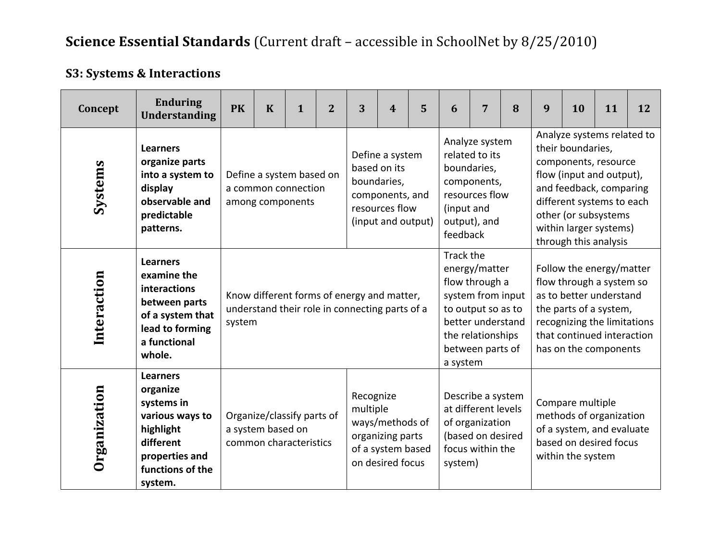## **S3: Systems & Interactions**

| Concept      | <b>Enduring</b><br><b>Understanding</b>                                                                                                 | <b>PK</b>                                                                                                                                                                          | $\mathbf K$ | $\mathbf{1}$                                                                                 | $\overline{2}$ | 3                           | $\boldsymbol{4}$                                                           | 5 | 6                      | 7                                                                                                                                        | 8 | 9                                                                                                                                                                                                                                      | 10                                    | 11                                                                                                                                                                                              | 12 |  |
|--------------|-----------------------------------------------------------------------------------------------------------------------------------------|------------------------------------------------------------------------------------------------------------------------------------------------------------------------------------|-------------|----------------------------------------------------------------------------------------------|----------------|-----------------------------|----------------------------------------------------------------------------|---|------------------------|------------------------------------------------------------------------------------------------------------------------------------------|---|----------------------------------------------------------------------------------------------------------------------------------------------------------------------------------------------------------------------------------------|---------------------------------------|-------------------------------------------------------------------------------------------------------------------------------------------------------------------------------------------------|----|--|
| Systems      | <b>Learners</b><br>organize parts<br>into a system to<br>display<br>observable and<br>predictable<br>patterns.                          |                                                                                                                                                                                    |             | Define a system based on<br>a common connection<br>among components                          |                | based on its<br>boundaries, | Define a system<br>components, and<br>resources flow<br>(input and output) |   | (input and<br>feedback | Analyze system<br>related to its<br>boundaries,<br>components,<br>resources flow<br>output), and                                         |   | Analyze systems related to<br>their boundaries,<br>components, resource<br>flow (input and output),<br>and feedback, comparing<br>different systems to each<br>other (or subsystems<br>within larger systems)<br>through this analysis |                                       |                                                                                                                                                                                                 |    |  |
| Interaction  | <b>Learners</b><br>examine the<br>interactions<br>between parts<br>of a system that<br>lead to forming<br>a functional<br>whole.        | system                                                                                                                                                                             |             | Know different forms of energy and matter,<br>understand their role in connecting parts of a |                |                             |                                                                            |   | Track the<br>a system  | energy/matter<br>flow through a<br>system from input<br>to output so as to<br>better understand<br>the relationships<br>between parts of |   |                                                                                                                                                                                                                                        |                                       | Follow the energy/matter<br>flow through a system so<br>as to better understand<br>the parts of a system,<br>recognizing the limitations<br>that continued interaction<br>has on the components |    |  |
| Organization | <b>Learners</b><br>organize<br>systems in<br>various ways to<br>highlight<br>different<br>properties and<br>functions of the<br>system. | Recognize<br>multiple<br>Organize/classify parts of<br>ways/methods of<br>a system based on<br>organizing parts<br>common characteristics<br>of a system based<br>on desired focus |             |                                                                                              |                |                             |                                                                            |   |                        | Describe a system<br>at different levels<br>of organization<br>(based on desired<br>focus within the<br>system)                          |   |                                                                                                                                                                                                                                        | Compare multiple<br>within the system | methods of organization<br>of a system, and evaluate<br>based on desired focus                                                                                                                  |    |  |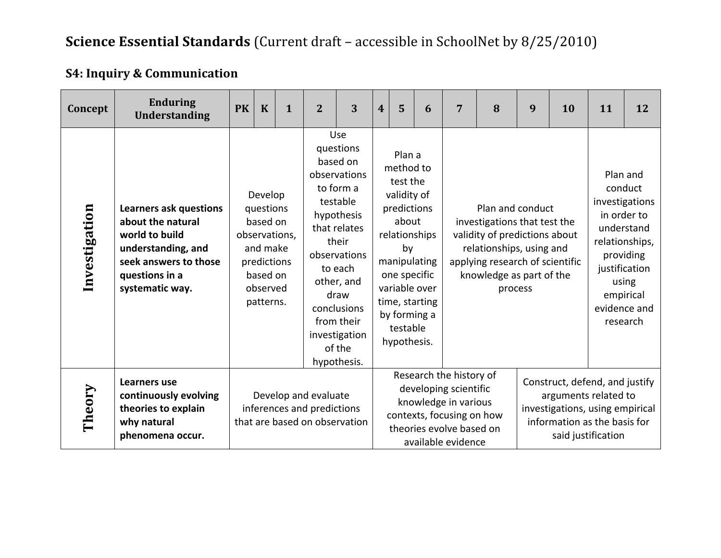## **S4: Inquiry & Communication**

| Concept       | <b>Enduring</b><br><b>Understanding</b>                                                                                                                                                                                                                                       | <b>PK</b> | $\mathbf K$ | $\mathbf{1}$ | $\overline{2}$                                                                                                                                                                                                                       | 3 | $\overline{\mathbf{4}}$                                                                                                                                                   | 5                              | 6                                                                                                                                                       | $\overline{7}$              | 8                                                                                                                                                        | 9 | 10                                                                                                                                                                   | 11 | 12 |
|---------------|-------------------------------------------------------------------------------------------------------------------------------------------------------------------------------------------------------------------------------------------------------------------------------|-----------|-------------|--------------|--------------------------------------------------------------------------------------------------------------------------------------------------------------------------------------------------------------------------------------|---|---------------------------------------------------------------------------------------------------------------------------------------------------------------------------|--------------------------------|---------------------------------------------------------------------------------------------------------------------------------------------------------|-----------------------------|----------------------------------------------------------------------------------------------------------------------------------------------------------|---|----------------------------------------------------------------------------------------------------------------------------------------------------------------------|----|----|
| Investigation | Develop<br><b>Learners ask questions</b><br>questions<br>about the natural<br>based on<br>world to build<br>observations,<br>and make<br>understanding, and<br>seek answers to those<br>predictions<br>based on<br>questions in a<br>systematic way.<br>observed<br>patterns. |           |             |              | Use<br>questions<br>based on<br>observations<br>to form a<br>testable<br>hypothesis<br>that relates<br>their<br>observations<br>to each<br>other, and<br>draw<br>conclusions<br>from their<br>investigation<br>of the<br>hypothesis. |   | Plan a<br>method to<br>test the<br>validity of<br>predictions<br>about<br>relationships<br>by<br>one specific<br>variable over<br>by forming a<br>testable<br>hypothesis. | manipulating<br>time, starting |                                                                                                                                                         | Plan and conduct<br>process | investigations that test the<br>validity of predictions about<br>relationships, using and<br>applying research of scientific<br>knowledge as part of the |   | Plan and<br>conduct<br>investigations<br>in order to<br>understand<br>relationships,<br>providing<br>justification<br>using<br>empirical<br>evidence and<br>research |    |    |
| Theory        | Learners use<br>continuously evolving<br>theories to explain<br>why natural<br>phenomena occur.                                                                                                                                                                               |           |             |              | Develop and evaluate<br>inferences and predictions<br>that are based on observation                                                                                                                                                  |   |                                                                                                                                                                           |                                | Research the history of<br>developing scientific<br>knowledge in various<br>contexts, focusing on how<br>theories evolve based on<br>available evidence |                             | Construct, defend, and justify<br>arguments related to<br>investigations, using empirical<br>information as the basis for<br>said justification          |   |                                                                                                                                                                      |    |    |